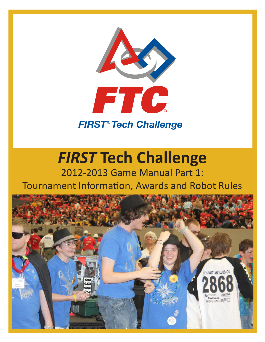

# *FIRST* **Tech Challenge**

# 2012-2013 Game Manual Part 1: Tournament Information, Awards and Robot Rules

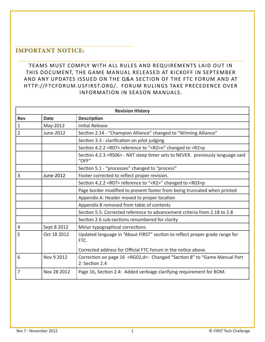# **IMPORTANT NOTICE:**

TEAMS MUST COMPLY WITH ALL RULES AND REQUIREMENTS LAID OUT IN THIS DOCUMENT, THE GAME MANUAL RELEASED AT KICKOFF IN SEPTEMBER AND ANY UPDATES ISSUED ON THE Q&A SECTION OF THE FTC FORUM AND AT HT TP://FTCFORUM.USFIRST.ORG/. FORUM RULINGS TAKE PRECEDENCE OVER INFORMATION IN SEASON MANUALS.

| <b>Revision History</b> |             |                                                                                                      |  |  |  |
|-------------------------|-------------|------------------------------------------------------------------------------------------------------|--|--|--|
| <b>Rev</b>              | <b>Date</b> | <b>Description</b>                                                                                   |  |  |  |
| $1\,$                   | May-2012    | <b>Initial Release</b>                                                                               |  |  |  |
| $\overline{2}$          | June-2012   | Section 2.14 - "Champion Alliance" changed to "Winning Alliance"                                     |  |  |  |
|                         |             | Section 3.3 - clarification on pilot judging                                                         |  |  |  |
|                         |             | Section 4.2.2 <r07> reference to "<r2>n" changed to <r2>p</r2></r2></r07>                            |  |  |  |
|                         |             | Section 4.2.3 <rs06> - NXT sleep timer sets to NEVER. previously language said<br/>"OFF"</rs06>      |  |  |  |
|                         |             | Section 5.1 - "processes" changed to "process"                                                       |  |  |  |
| 3                       | June-2012   | Footer corrected to reflect proper revision.                                                         |  |  |  |
|                         |             | Section 4.2.2 <r07> reference to "<r2>" changed to <r03>p</r03></r2></r07>                           |  |  |  |
|                         |             | Page border modified to prevent footer from being truncated when printed                             |  |  |  |
|                         |             | Appendix A: Header moved to proper location                                                          |  |  |  |
|                         |             | Appendix B removed from table of contents                                                            |  |  |  |
|                         |             | Section 5.5: Corrected reference to advancement criteria from 2.18 to 2.8                            |  |  |  |
|                         |             | Section 2.6 sub-sections renumbered for clarity                                                      |  |  |  |
| $\overline{4}$          | Sept 8 2012 | Minor typographical corrections                                                                      |  |  |  |
| 5                       | Oct 18 2012 | Updated language in "About FIRST" section to reflect proper grade range for<br>FTC.                  |  |  |  |
|                         |             | Corrected address for Official FTC Forum in the notice above.                                        |  |  |  |
| 6                       | Nov 9 2012  | Correction on page 16 <rg02,d>: Changed "Section 8" to "Game Manual Part<br/>2: Section 2.4</rg02,d> |  |  |  |
| $\overline{7}$          | Nov 28 2012 | Page 16, Section 2.4: Added verbiage clarifying requirement for BOM.                                 |  |  |  |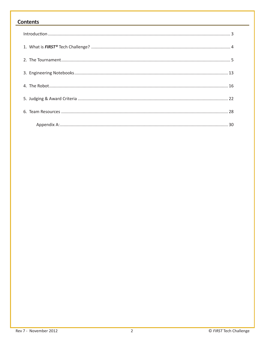#### Contents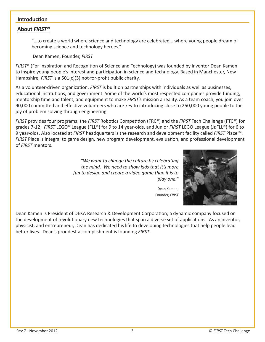#### **Introduction**

#### **About** *FIRST®*

"…to create a world where science and technology are celebrated… where young people dream of becoming science and technology heroes."

Dean Kamen, Founder, *FIRST*

*FIRST*® (For Inspiration and Recognition of Science and Technology) was founded by inventor Dean Kamen to inspire young people's interest and participation in science and technology. Based in Manchester, New Hampshire, *FIRST* is a 501(c)(3) not-for-profit public charity.

As a volunteer-driven organization, *FIRST* is built on partnerships with individuals as well as businesses, educational institutions, and government. Some of the world's most respected companies provide funding, mentorship time and talent, and equipment to make *FIRST*'s mission a reality. As a team coach, you join over 90,000 committed and effective volunteers who are key to introducing close to 250,000 young people to the joy of problem solving through engineering.

*FIRST* provides four programs: the *FIRST* Robotics Competition (FRC®) and the *FIRST* Tech Challenge (FTC®) for grades 7-12; *FIRST* LEGO® League (FLL®) for 9 to 14 year-olds, and Junior *FIRST* LEGO League (Jr.FLL®) for 6 to 9 year-olds. Also located at *FIRST* headquarters is the research and development facility called *FIRST* Place<sup>™</sup>. *FIRST* Place is integral to game design, new program development, evaluation, and professional development of *FIRST* mentors.

> *"We want to change the culture by celebrating the mind. We need to show kids that it's more fun to design and create a video game than it is to play one."*

Dean Kamen, Founder, *FIRST*

Dean Kamen is President of DEKA Research & Development Corporation; a dynamic company focused on the development of revolutionary new technologies that span a diverse set of applications. As an inventor, physicist, and entrepreneur, Dean has dedicated his life to developing technologies that help people lead better lives. Dean's proudest accomplishment is founding *FIRST*.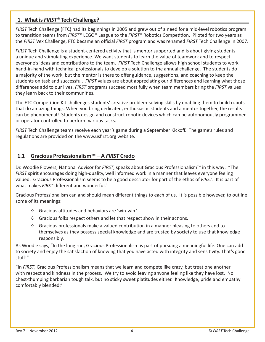## **1. What is** *FIRST®* **Tech Challenge?**

*FIRST* Tech Challenge (FTC) had its beginnings in 2005 and grew out of a need for a mid-level robotics program to transition teams from *FIRST®* LEGO® League to the *FIRST®* Robotics Competition. Piloted for two years as the *FIRST* Vex Challenge, FTC became an official *FIRST* program and was renamed *FIRST* Tech Challenge in 2007.

*FIRST* Tech Challenge is a student-centered activity that is mentor supported and is about giving students a unique and stimulating experience. We want students to learn the value of teamwork and to respect everyone's ideas and contributions to the team. *FIRST* Tech Challenge allows high school students to work hand-in-hand with technical professionals to develop a solution to the annual challenge. The students do a majority of the work, but the mentor is there to offer guidance, suggestions, and coaching to keep the students on task and successful. *FIRST* values are about appreciating our differences and learning what those differences add to our lives. *FIRST* programs succeed most fully when team members bring the *FIRST* values they learn back to their communities.

The FTC Competition Kit challenges students' creative problem-solving skills by enabling them to build robots that do amazing things. When you bring dedicated, enthusiastic students and a mentor together, the results can be phenomenal! Students design and construct robotic devices which can be autonomously programmed or operator-controlled to perform various tasks.

*FIRST* Tech Challenge teams receive each year's game during a September Kickoff. The game's rules and regulations are provided on the www.usfirst.org website.

# **1.1 Gracious Professionalism™ – A** *FIRST* **Credo**

Dr. Woodie Flowers, National Advisor for *FIRST*, speaks about Gracious Professionalism™ in this way: "The *FIRST* spirit encourages doing high-quality, well informed work in a manner that leaves everyone feeling valued. Gracious Professionalism seems to be a good descriptor for part of the ethos of *FIRST*. It is part of what makes *FIRST* different and wonderful."

Gracious Professionalism can and should mean different things to each of us. It is possible however, to outline some of its meanings:

- ◊ Gracious attitudes and behaviors are 'win-win.'
- ◊ Gracious folks respect others and let that respect show in their actions.
- ◊ Gracious professionals make a valued contribution in a manner pleasing to others and to themselves as they possess special knowledge and are trusted by society to use that knowledge responsibly.

As Woodie says, "In the long run, Gracious Professionalism is part of pursuing a meaningful life. One can add to society and enjoy the satisfaction of knowing that you have acted with integrity and sensitivity. That's good stuff!"

"In *FIRST*, Gracious Professionalism means that we learn and compete like crazy, but treat one another with respect and kindness in the process. We try to avoid leaving anyone feeling like they have lost. No chest-thumping barbarian tough talk, but no sticky sweet platitudes either. Knowledge, pride and empathy comfortably blended."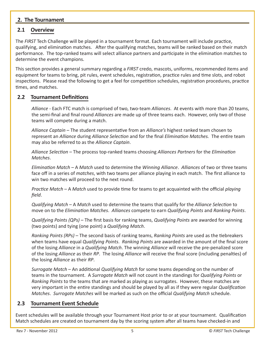#### **2. The Tournament**

# **2.1 Overview**

The *FIRST* Tech Challenge will be played in a tournament format. Each tournament will include practice, qualifying, and elimination matches. After the qualifying matches, teams will be ranked based on their match performance. The top-ranked teams will select alliance partners and participate in the elimination matches to determine the event champions.

This section provides a general summary regarding a *FIRST* credo, mascots, uniforms, recommended items and equipment for teams to bring, pit rules, event schedules, registration, practice rules and time slots, and robot inspections. Please read the following to get a feel for competition schedules, registration procedures, practice times, and matches.

#### **2.2 Tournament Definitions**

*Alliance -* Each FTC match is comprised of two, two-team *Alliances*. At events with more than 20 teams, the semi-final and final round *Alliances* are made up of three teams each. However, only two of those teams will compete during a match.

*Alliance Captain* – The student representative from an *Alliance's* highest ranked team chosen to represent an *Alliance* during *Alliance Selection* and for the final *Elimination Matches.* The entire team may also be referred to as the *Alliance Captain*.

*Alliance Selection* – The process top-ranked teams choosing *Alliances Partners* for the *Elimination Matches*.

*Elimination Match* – A *Match* used to determine the *Winning Alliance*. *Alliances* of two or three teams face off in a series of *matches*, with two teams per alliance playing in each match. The first alliance to win two matches will proceed to the next round.

*Practice Match* – A *Match* used to provide time for teams to get acquainted with the official *playing field*.

*Qualifying Match* – A *Match* used to determine the teams that qualify for the *Alliance Selection* to move on to the *Elimination Matches*. *Alliances* compete to earn *Qualifying Points* and *Ranking Points*.

*Qualifying Points (QPs)* – The first basis for ranking teams, *Qualifying Points* are awarded for winning (two points) and tying (one point) a *Qualifying Match*.

*Ranking Points (RPs)* – The second basis of ranking teams, *Ranking Points* are used as the tiebreakers when teams have equal *Qualifying Points*. *Ranking Points* are awarded in the amount of the final score of the losing *Alliance* in a *Qualifying Match*. The winning *Alliance* will receive the pre-penalized score of the losing *Alliance* as their *RP*. The losing *Alliance* will receive the final score (including penalties) of the losing *Alliance* as their *RP*.

*Surrogate Match* – An additional *Qualifying Match* for some teams depending on the number of teams in the tournament. A *Surrogate Match* will not count in the standings for *Qualifying Points* or *Ranking Points* to the teams that are marked as playing as surrogates. However, these matches are very important in the entire standings and should be played by all as if they were regular *Qualification Matches*. *Surrogate Matches* will be marked as such on the official *Qualifying Match* schedule.

# **2.3 Tournament Event Schedule**

Event schedules will be available through your Tournament Host prior to or at your tournament. Qualification Match schedules are created on tournament day by the scoring system after all teams have checked-in and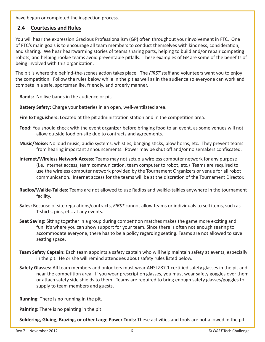have begun or completed the inspection process.

#### **2.4 Courtesies and Rules**

You will hear the expression Gracious Professionalism (GP) often throughout your involvement in FTC. One of FTC's main goals is to encourage all team members to conduct themselves with kindness, consideration, and sharing. We hear heartwarming stories of teams sharing parts, helping to build and/or repair competing robots, and helping rookie teams avoid preventable pitfalls. These examples of GP are some of the benefits of being involved with this organization.

The pit is where the behind-the-scenes action takes place. The *FIRST* staff and volunteers want you to enjoy the competition. Follow the rules below while in the pit as well as in the audience so everyone can work and compete in a safe, sportsmanlike, friendly, and orderly manner.

**Bands:** No live bands in the audience or pit.

**Battery Safety:** Charge your batteries in an open, well-ventilated area.

- **Fire Extinguishers:** Located at the pit administration station and in the competition area.
- **Food:** You should check with the event organizer before bringing food to an event, as some venues will not allow outside food on-site due to contracts and agreements.
- **Music/Noise:** No loud music, audio systems, whistles, banging sticks, blow horns, etc. They prevent teams from hearing important announcements. Power may be shut off and/or noisemakers confiscated.
- **Internet/Wireless Network Access:** Teams may not setup a wireless computer network for any purpose (i.e. Internet access, team communication, team computer to robot, etc.) Teams are required to use the wireless computer network provided by the Tournament Organizers or venue for all robot communication. Internet access for the teams will be at the discretion of the Tournament Director.
- **Radios/Walkie-Talkies:** Teams are not allowed to use Radios and walkie-talkies anywhere in the tournament facility.
- **Sales:** Because of site regulations/contracts, *FIRST* cannot allow teams or individuals to sell items, such as T-shirts, pins, etc. at any events.
- **Seat Saving:** Sitting together in a group during competition matches makes the game more exciting and fun. It's where you can show support for your team. Since there is often not enough seating to accommodate everyone, there has to be a policy regarding seating. Teams are not allowed to save seating space.
- **Team Safety Captain:** Each team appoints a safety captain who will help maintain safety at events, especially in the pit. He or she will remind attendees about safety rules listed below.
- **Safety Glasses:** All team members and onlookers must wear ANSI Z87.1 certified safety glasses in the pit and near the competition area. If you wear prescription glasses, you must wear safety goggles over them or attach safety side shields to them. Teams are required to bring enough safety glasses/goggles to supply to team members and guests.

**Running:** There is no running in the pit.

**Painting:** There is no painting in the pit.

**Soldering, Gluing, Brazing, or other Large Power Tools:** These activities and tools are not allowed in the pit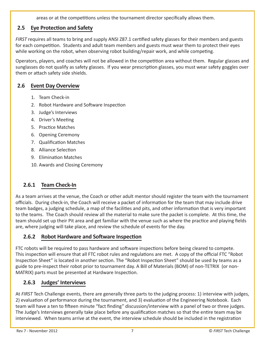areas or at the competitions unless the tournament director specifically allows them.

# **2.5 Eye Protection and Safety**

*FIRST* requires all teams to bring and supply ANSI Z87.1 certified safety glasses for their members and guests for each competition. Students and adult team members and guests must wear them to protect their eyes while working on the robot, when observing robot building/repair work, and while competing.

Operators, players, and coaches will not be allowed in the competition area without them. Regular glasses and sunglasses do not qualify as safety glasses. If you wear prescription glasses, you must wear safety goggles over them or attach safety side shields.

# **2.6 Event Day Overview**

- 1. Team Check-in
- 2. Robot Hardware and Software Inspection
- 3. Judge's Interviews
- 4. Driver's Meeting
- 5. Practice Matches
- 6. Opening Ceremony
- 7. Qualification Matches
- 8. Alliance Selection
- 9. Elimination Matches
- 10. Awards and Closing Ceremony

# **2.6.1 Team Check-In**

As a team arrives at the venue, the Coach or other adult mentor should register the team with the tournament officials. During check-in, the Coach will receive a packet of information for the team that may include drive team badges, a judging schedule, a map of the facilities and pits, and other information that is very important to the teams. The Coach should review all the material to make sure the packet is complete. At this time, the team should set up their Pit area and get familiar with the venue such as where the practice and playing fields are, where judging will take place, and review the schedule of events for the day.

# **2.6.2 Robot Hardware and Software Inspection**

FTC robots will be required to pass hardware and software inspections before being cleared to compete. This inspection will ensure that all FTC robot rules and regulations are met. A copy of the official FTC "Robot Inspection Sheet" is located in another section. The "Robot Inspection Sheet" should be used by teams as a guide to pre-inspect their robot prior to tournament day. A Bill of Materials (BOM) of non-TETRIX (or non-MATRIX) parts must be presented at Hardware Inspection.

# **2.6.3 Judges' Interviews**

At *FIRST* Tech Challenge events, there are generally three parts to the judging process: 1) interview with judges, 2) evaluation of performance during the tournament, and 3) evaluation of the Engineering Notebook. Each team will have a ten to fifteen minute "fact finding" discussion/interview with a panel of two or three judges. The Judge's Interviews generally take place before any qualification matches so that the entire team may be interviewed. When teams arrive at the event, the interview schedule should be included in the registration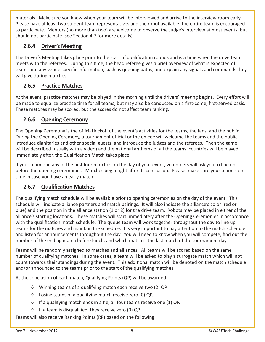materials. Make sure you know when your team will be interviewed and arrive to the interview room early. Please have at least two student team representatives and the robot available; the entire team is encouraged to participate. Mentors (no more than two) are welcome to observe the Judge's Interview at most events, but should not participate (see Section 4.7 for more details).

# **2.6.4 Driver's Meeting**

The Driver's Meeting takes place prior to the start of qualification rounds and is a time when the drive team meets with the referees. During this time, the head referee gives a brief overview of what is expected of teams and any venue specific information, such as queuing paths, and explain any signals and commands they will give during matches.

# **2.6.5 Practice Matches**

At the event, practice matches may be played in the morning until the drivers' meeting begins. Every effort will be made to equalize practice time for all teams, but may also be conducted on a first-come, first-served basis. These matches may be scored, but the scores do not affect team ranking.

#### **2.6.6 Opening Ceremony**

The Opening Ceremony is the official kickoff of the event's activities for the teams, the fans, and the public. During the Opening Ceremony, a tournament official or the emcee will welcome the teams and the public, introduce dignitaries and other special guests, and introduce the judges and the referees. Then the game will be described (usually with a video) and the national anthems of all the teams' countries will be played. Immediately after, the Qualification Match takes place.

If your team is in any of the first four matches on the day of your event, volunteers will ask you to line up before the opening ceremonies. Matches begin right after its conclusion. Please, make sure your team is on time in case you have an early match.

# **2.6.7 Qualification Matches**

The qualifying match schedule will be available prior to opening ceremonies on the day of the event. This schedule will indicate alliance partners and match pairings. It will also indicate the alliance's color (red or blue) and the position in the alliance station (1 or 2) for the drive team. Robots may be placed in either of the alliance's starting locations. These matches will start immediately after the Opening Ceremonies in accordance with the qualification match schedule. The queue team will work together throughout the day to line up teams for the matches and maintain the schedule. It is very important to pay attention to the match schedule and listen for announcements throughout the day. You will need to know when you will compete, find out the number of the ending match before lunch, and which match is the last match of the tournament day.

Teams will be randomly assigned to matches and alliances. All teams will be scored based on the same number of qualifying matches. In some cases, a team will be asked to play a surrogate match which will not count towards their standings during the event. This additional match will be denoted on the match schedule and/or announced to the teams prior to the start of the qualifying matches.

At the conclusion of each match, Qualifying Points (QP) will be awarded:

- ◊ Winning teams of a qualifying match each receive two (2) QP.
- ◊ Losing teams of a qualifying match receive zero (0) QP.
- ◊ If a qualifying match ends in a tie, all four teams receive one (1) QP.
- ◊ If a team is disqualified, they receive zero (0) QP.

Teams will also receive Ranking Points (RP) based on the following: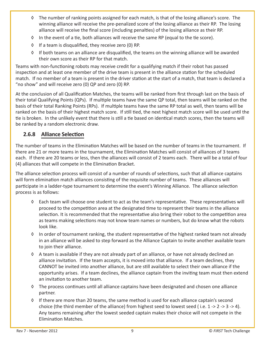- ◊ The number of ranking points assigned for each match, is that of the losing alliance's score. The winning alliance will receive the pre-penalized score of the losing alliance as their RP. The losing alliance will receive the final score (including penalties) of the losing alliance as their RP.
- ◊ In the event of a tie, both alliances will receive the same RP (equal to the tie score).
- ◊ If a team is disqualified, they receive zero (0) RP.
- ◊ If both teams on an alliance are disqualified, the teams on the winning alliance will be awarded their own score as their RP for that match.

Teams with non-functioning robots may receive credit for a qualifying match if their robot has passed inspection and at least one member of the drive team is present in the alliance station for the scheduled match. If no member of a team is present in the driver station at the start of a match, that team is declared a "no show" and will receive zero (0) QP and zero (0) RP.

At the conclusion of all Qualification Matches, the teams will be ranked from first through last on the basis of their total Qualifying Points (QPs). If multiple teams have the same QP total, then teams will be ranked on the basis of their total Ranking Points (RPs). If multiple teams have the same RP total as well, then teams will be ranked on the basis of their highest match score. If still tied, the next highest match score will be used until the tie is broken. In the unlikely event that there is still a tie based on identical match scores, then the teams will be ranked by a random electronic draw.

#### **2.6.8 Alliance Selection**

The number of teams in the Elimination Matches will be based on the number of teams in the tournament. If there are 21 or more teams in the tournament, the Elimination Matches will consist of alliances of 3 teams each. If there are 20 teams or less, then the alliances will consist of 2 teams each. There will be a total of four (4) alliances that will compete in the Elimination Bracket.

The alliance selection process will consist of a number of rounds of selections, such that all alliance captains will form elimination match alliances consisting of the requisite number of teams. These alliances will participate in a ladder-type tournament to determine the event's Winning Alliance. The alliance selection process is as follows:

- ◊ Each team will choose one student to act as the team's representative. These representatives will proceed to the competition area at the designated time to represent their teams in the alliance selection. It is recommended that the representative also bring their robot to the competition area as teams making selections may not know team names or numbers, but do know what the robots look like.
- ◊ In order of tournament ranking, the student representative of the highest ranked team not already in an alliance will be asked to step forward as the Alliance Captain to invite another available team to join their alliance.
- ◊ A team is available if they are not already part of an alliance, or have not already declined an alliance invitation. If the team accepts, it is moved into that alliance. If a team declines, they CANNOT be invited into another alliance, but are still available to select their own alliance if the opportunity arises. If a team declines, the alliance captain from the inviting team must then extend an invitation to another team.
- ◊ The process continues until all alliance captains have been designated and chosen one alliance partner.
- ◊ If there are more than 20 teams, the same method is used for each alliance captain's second choice (the third member of the alliance) from highest seed to lowest seed (i.e.  $1 \rightarrow 2 \rightarrow 3 \rightarrow 4$ ). Any teams remaining after the lowest seeded captain makes their choice will not compete in the Elimination Matches.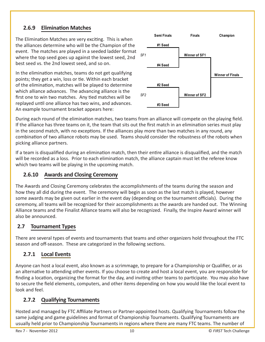# **2.6.9 Elimination Matches**

The Elimination Matches are very exciting. This is when the alliances determine who will be the Champion of the event. The matches are played in a seeded ladder format where the top seed goes up against the lowest seed, 2nd best seed vs. the 2nd lowest seed, and so on.

In the elimination matches, teams do not get qualifying points; they get a win, loss or tie. Within each bracket of the elimination, matches will be played to determine which alliance advances. The advancing alliance is the first one to win two matches. Any tied matches will be replayed until one alliance has two wins, and advances. An example tournament bracket appears here:



During each round of the elimination matches, two teams from an alliance will compete on the playing field. If the alliance has three teams on it, the team that sits out the first match in an elimination series must play in the second match, with no exceptions. If the alliances play more than two matches in any round, any combination of two alliance robots may be used. Teams should consider the robustness of the robots when picking alliance partners.

If a team is disqualified during an elimination match, then their entire alliance is disqualified, and the match will be recorded as a loss. Prior to each elimination match, the alliance captain must let the referee know which two teams will be playing in the upcoming match.

# **2.6.10 Awards and Closing Ceremony**

The Awards and Closing Ceremony celebrates the accomplishments of the teams during the season and how they all did during the event. The ceremony will begin as soon as the last match is played, however some awards may be given out earlier in the event day (depending on the tournament officials). During the ceremony, all teams will be recognized for their accomplishments as the awards are handed out. The Winning Alliance teams and the Finalist Alliance teams will also be recognized. Finally, the Inspire Award winner will also be announced.

# **2.7 Tournament Types**

There are several types of events and tournaments that teams and other organizers hold throughout the FTC season and off-season. These are categorized in the following sections.

# **2.7.1 Local Events**

Anyone can host a local event, also known as a scrimmage, to prepare for a Championship or Qualifier, or as an alternative to attending other events. If you choose to create and host a local event, you are responsible for finding a location, organizing the format for the day, and inviting other teams to participate. You may also have to secure the field elements, computers, and other items depending on how you would like the local event to look and feel.

# **2.7.2 Qualifying Tournaments**

Hosted and managed by FTC Affiliate Partners or Partner-appointed hosts. Qualifying Tournaments follow the same judging and game guidelines and format of Championship Tournaments. Qualifying Tournaments are usually held prior to Championship Tournaments in regions where there are many FTC teams. The number of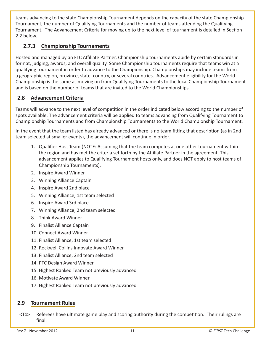teams advancing to the state Championship Tournament depends on the capacity of the state Championship Tournament, the number of Qualifying Tournaments and the number of teams attending the Qualifying Tournament. The Advancement Criteria for moving up to the next level of tournament is detailed in Section 2.2 below.

# **2.7.3 Championship Tournaments**

Hosted and managed by an FTC Affiliate Partner, Championship tournaments abide by certain standards in format, judging, awards, and overall quality. Some Championship tournaments require that teams win at a qualifying tournament in order to advance to the Championship. Championships may include teams from a geographic region, province, state, country, or several countries. Advancement eligibility for the World Championship is the same as moving on from Qualifying Tournaments to the local Championship Tournament and is based on the number of teams that are invited to the World Championships.

# **2.8 Advancement Criteria**

Teams will advance to the next level of competition in the order indicated below according to the number of spots available. The advancement criteria will be applied to teams advancing from Qualifying Tournament to Championship Tournaments and from Championship Tournaments to the World Championship Tournament.

In the event that the team listed has already advanced or there is no team fitting that description (as in 2nd team selected at smaller events), the advancement will continue in order.

- 1. Qualifier Host Team (NOTE: Assuming that the team competes at one other tournament within the region and has met the criteria set forth by the Affiliate Partner in the agreement. This advancement applies to Qualifying Tournament hosts only, and does NOT apply to host teams of Championship Tournaments).
- 2. Inspire Award Winner
- 3. Winning Alliance Captain
- 4. Inspire Award 2nd place
- 5. Winning Alliance, 1st team selected
- 6. Inspire Award 3rd place
- 7. Winning Alliance, 2nd team selected
- 8. Think Award Winner
- 9. Finalist Alliance Captain
- 10. Connect Award Winner
- 11. Finalist Alliance, 1st team selected
- 12. Rockwell Collins Innovate Award Winner
- 13. Finalist Alliance, 2nd team selected
- 14. PTC Design Award Winner
- 15. Highest Ranked Team not previously advanced
- 16. Motivate Award Winner
- 17. Highest Ranked Team not previously advanced

#### **2.9 Tournament Rules**

**<T1>** Referees have ultimate game play and scoring authority during the competition. Their rulings are final.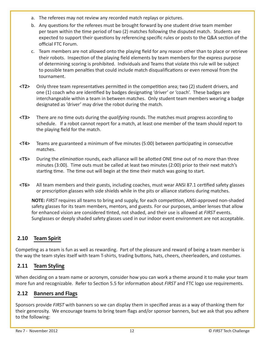- a. The referees may not review any recorded match replays or pictures.
- b. Any questions for the referees must be brought forward by one student drive team member per team within the time period of two (2) matches following the disputed match. Students are expected to support their questions by referencing specific rules or posts to the Q&A section of the official FTC Forum.
- c. Team members are not allowed onto the playing field for any reason other than to place or retrieve their robots. Inspection of the playing field elements by team members for the express purpose of determining scoring is prohibited. Individuals and Teams that violate this rule will be subject to possible team penalties that could include match disqualifications or even removal from the tournament.
- **<T2>** Only three team representatives permitted in the competition area; two (2) student drivers, and one (1) coach who are identified by badges designating 'driver' or 'coach'. These badges are interchangeable within a team in between matches. Only student team members wearing a badge designated as 'driver' may drive the robot during the match.
- **<T3>** There are no time outs during the *qualifying* rounds. The matches must progress according to schedule. If a robot cannot report for a match, at least one member of the team should report to the playing field for the match.
- **<T4>** Teams are guaranteed a minimum of five minutes (5:00) between participating in consecutive matches.
- **<T5>** During the *elimination* rounds, each alliance will be allotted ONE time out of no more than three minutes (3:00). Time outs must be called at least two minutes (2:00) prior to their next match's starting time. The time out will begin at the time their match was going to start.
- **<T6>** All team members and their guests, including coaches, must wear ANSI 87.1 certified safety glasses or prescription glasses with side shields while in the pits or alliance stations during matches.

**NOTE:** *FIRST* requires all teams to bring and supply, for each competition, ANSI-approved non-shaded safety glasses for its team members, mentors, and guests. For our purposes, amber lenses that allow for enhanced vision are considered tinted, not shaded, and their use is allowed at *FIRST* events. Sunglasses or deeply shaded safety glasses used in our indoor event environment are not acceptable.

# **2.10 Team Spirit**

Competing as a team is fun as well as rewarding. Part of the pleasure and reward of being a team member is the way the team styles itself with team T-shirts, trading buttons, hats, cheers, cheerleaders, and costumes.

# **2.11 Team Styling**

When deciding on a team name or acronym, consider how you can work a theme around it to make your team more fun and recognizable. Refer to Section 5.5 for information about *FIRST* and FTC logo use requirements.

# **2.12 Banners and Flags**

Sponsors provide *FIRST* with banners so we can display them in specified areas as a way of thanking them for their generosity. We encourage teams to bring team flags and/or sponsor banners, but we ask that you adhere to the following: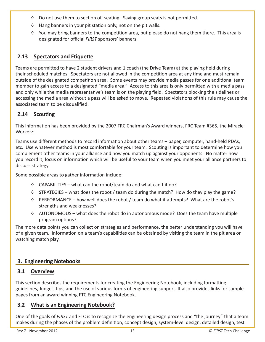- ◊ Do not use them to section off seating. Saving group seats is not permitted.
- ◊ Hang banners in your pit station only, not on the pit walls.
- ◊ You may bring banners to the competition area, but please do not hang them there. This area is designated for official *FIRST* sponsors' banners.

# **2.13 Spectators and Etiquette**

Teams are permitted to have 2 student drivers and 1 coach (the Drive Team) at the playing field during their scheduled matches. Spectators are not allowed in the competition area at any time and must remain outside of the designated competition area. Some events may provide media passes for one additional team member to gain access to a designated "media area." Access to this area is only permitted with a media pass and only while the media representative's team is on the playing field. Spectators blocking the sidelines or accessing the media area without a pass will be asked to move. Repeated violations of this rule may cause the associated team to be disqualified.

# **2.14 Scouting**

This information has been provided by the 2007 FRC Chairman's Award winners, FRC Team #365, the Miracle Workerz:

Teams use different methods to record information about other teams – paper, computer, hand-held PDAs, etc. Use whatever method is most comfortable for your team. Scouting is important to determine how you complement other teams in your alliance and how you match up against your opponents. No matter how you record it, focus on information which will be useful to your team when you meet your alliance partners to discuss strategy.

Some possible areas to gather information include:

- ◊ CAPABILITIES what can the robot/team do and what can't it do?
- ◊ STRATEGIES what does the robot / team do during the match? How do they play the game?
- ◊ PERFORMANCE how well does the robot / team do what it attempts? What are the robot's strengths and weaknesses?
- ◊ AUTONOMOUS what does the robot do in autonomous mode? Does the team have multiple program options?

The more data points you can collect on strategies and performance, the better understanding you will have of a given team. Information on a team's capabilities can be obtained by visiting the team in the pit area or watching match play.

# **3. Engineering Notebooks**

# **3.1 Overview**

This section describes the requirements for creating the Engineering Notebook, including formatting guidelines, Judge's tips, and the use of various forms of engineering support. It also provides links for sample pages from an award winning FTC Engineering Notebook.

# **3.2 What is an Engineering Notebook?**

One of the goals of *FIRST* and FTC is to recognize the engineering design process and "the journey" that a team makes during the phases of the problem definition, concept design, system-level design, detailed design, test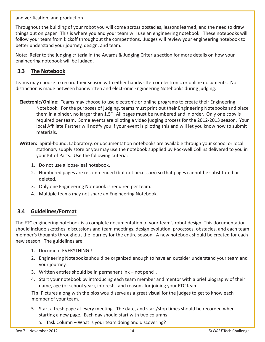and verification, and production.

Throughout the building of your robot you will come across obstacles, lessons learned, and the need to draw things out on paper. This is where you and your team will use an engineering notebook. These notebooks will follow your team from kickoff throughout the competitions. Judges will review your engineering notebook to better understand your journey, design, and team.

Note: Refer to the judging criteria in the Awards & Judging Criteria section for more details on how your engineering notebook will be judged.

# **3.3 The Notebook**

Teams may choose to record their season with either handwritten or electronic or online documents. No distinction is made between handwritten and electronic Engineering Notebooks during judging.

- **Electronic/Online:** Teams may choose to use electronic or online programs to create their Engineering Notebook. For the purposes of judging, teams must print out their Engineering Notebooks and place them in a binder, no larger than 1.5". All pages must be numbered and in order. Only one copy is required per team. Some events are piloting a video judging process for the 2012-2013 season. Your local Affiliate Partner will notify you if your event is piloting this and will let you know how to submit materials.
- **Written:** Spiral-bound, Laboratory, or documentation notebooks are available through your school or local stationary supply store or you may use the notebook supplied by Rockwell Collins delivered to you in your Kit of Parts. Use the following criteria:
	- 1. Do not use a loose-leaf notebook.
	- 2. Numbered pages are recommended (but not necessary) so that pages cannot be substituted or deleted.
	- 3. Only one Engineering Notebook is required per team.
	- 4. Multiple teams may not share an Engineering Notebook.

#### **3.4 Guidelines/Format**

The FTC engineering notebook is a complete documentation of your team's robot design. This documentation should include sketches, discussions and team meetings, design evolution, processes, obstacles, and each team member's thoughts throughout the journey for the entire season. A new notebook should be created for each new season. The guidelines are:

- 1. Document EVERYTHING!!
- 2. Engineering Notebooks should be organized enough to have an outsider understand your team and your journey.
- 3. Written entries should be in permanent ink not pencil.
- 4. Start your notebook by introducing each team member and mentor with a brief biography of their name, age (or school year), interests, and reasons for joining your FTC team.

**Tip:** Pictures along with the bios would serve as a great visual for the judges to get to know each member of your team.

- 5. Start a fresh page at every meeting. The date, and start/stop times should be recorded when starting a new page. Each day should start with two columns:
	- a. Task Column What is your team doing and discovering?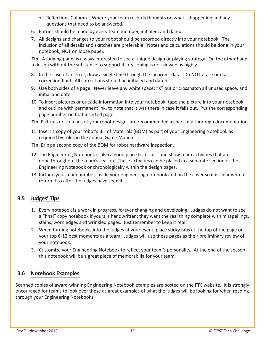- b. Reflections Column Where your team records thoughts on what is happening and any questions that need to be answered.
- 6. Entries should be made by every team member, initialed, and dated.
- 7. All designs and changes to your robot should be recorded directly into your notebook. The inclusion of all details and sketches are preferable. Notes and calculations should be done in your notebook, NOT on loose paper.

**Tip:** A judging panel is always interested to see a unique design or playing strategy. On the other hand, a design without the substance to support its reasoning is not viewed as highly.

- 8. In the case of an error, draw a single line through the incorrect data. Do NOT erase or use correction fluid. All corrections should be initialed and dated.
- 9. Use both sides of a page. Never leave any white space: "X" out or crosshatch all unused space, and initial and date.
- 10. To insert pictures or outside information into your notebook, tape the picture into your notebook and outline with permanent ink, to note that it was there in case it falls out. Put the corresponding page number on that inserted page.

**Tip:** Pictures or sketches of your robot designs are recommended as part of a thorough documentation.

11. Insert a copy of your robot's Bill of Materials (BOM) as part of your Engineering Notebook as required by rules in the annual Game Manual.

**Tip:** Bring a second copy of the BOM for robot hardware inspection.

- 12. The Engineering Notebook is also a good place to discuss and show team activities that are done throughout the team's season. These activities can be placed in a separate section of the Engineering Notebook or chronologically within the design pages.
- 13. Include your team number inside your engineering notebook and on the cover so it is clear who to return it to after the judges have seen it.

# **3.5 Judges' Tips**

- 1. Every notebook is a work in progress, forever changing and developing. Judges do not want to see a "final" copy notebook if yours is handwritten; they want the real thing complete with misspellings, stains, worn edges and wrinkled pages. Just remember to keep it real!
- 2. When turning notebooks into the judges at your event, place sticky tabs at the top of the page on your top 6-12 best moments as a team. Judges will use these pages as their preliminary review of your notebook.
- 3. Customize your Engineering Notebook to reflect your team's personality. At the end of the season, this notebook will be a great piece of memorabilia for your team.

#### **3.6 Notebook Examples**

Scanned copies of award-winning Engineering Notebook examples are posted on the FTC website. It is strongly encouraged for teams to look over these as great examples of what the judges will be looking for when reading through your Engineering Notebooks.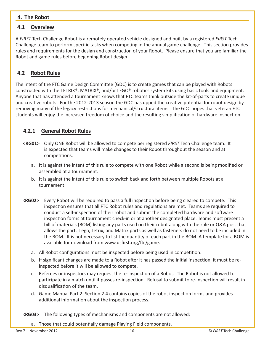#### **4. The Robot**

#### **4.1 Overview**

A *FIRST* Tech Challenge Robot is a remotely operated vehicle designed and built by a registered *FIRST* Tech Challenge team to perform specific tasks when competing in the annual game challenge. This section provides rules and requirements for the design and construction of your Robot. Please ensure that you are familiar the Robot and game rules before beginning Robot design.

## **4.2 Robot Rules**

The intent of the FTC Game Design Committee (GDC) is to create games that can be played with Robots constructed with the TETRIX®, MATRIX®, and/or LEGO® robotics system kits using basic tools and equipment. Anyone that has attended a tournament knows that FTC teams think outside the kit-of-parts to create unique and creative robots. For the 2012-2013 season the GDC has upped the creative potential for robot design by removing many of the legacy restrictions for mechanical/structural items. The GDC hopes that veteran FTC students will enjoy the increased freedom of choice and the resulting simplification of hardware inspection.

#### **4.2.1 General Robot Rules**

- **<RG01>** Only ONE Robot will be allowed to compete per registered *FIRST* Tech Challenge team. It is expected that teams will make changes to their Robot throughout the season and at competitions.
	- a. It is against the intent of this rule to compete with one Robot while a second is being modified or assembled at a tournament.
	- b. It is against the intent of this rule to switch back and forth between multiple Robots at a tournament.
- **<RG02>** Every Robot will be required to pass a full inspection before being cleared to compete. This inspection ensures that all FTC Robot rules and regulations are met. Teams are required to conduct a self-inspection of their robot and submit the completed hardware and software inspection forms at tournament check-in or at another designated place. Teams must present a bill of materials (BOM) listing any parts used on their robot along with the rule or Q&A post that allows the part. Lego, Tetrix, and Matrix parts as well as fasteners do not need to be included in the BOM. It is not necessary to list the quantity of each part in the BOM. A template for a BOM is available for download from www.usfirst.org/ftc/game.
	- a. All Robot configurations must be inspected before being used in competition.
	- b. If significant changes are made to a Robot after it has passed the initial inspection, it must be reinspected before it will be allowed to compete.
	- c. Referees or inspectors may request the re-inspection of a Robot. The Robot is not allowed to participate in a match until it passes re-inspection. Refusal to submit to re-inspection will result in disqualification of the team.
	- d. Game Manual Part 2: Section 2.4 contains copies of the robot inspection forms and provides additional information about the inspection process.

**<RG03>** The following types of mechanisms and components are not allowed:

a. Those that could potentially damage Playing Field components.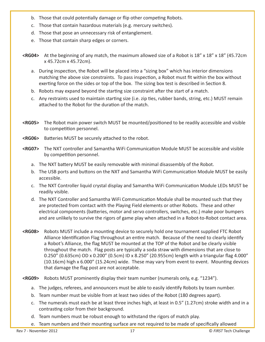- b. Those that could potentially damage or flip other competing Robots.
- c. Those that contain hazardous materials (e.g. mercury switches).
- d. Those that pose an unnecessary risk of entanglement.
- e. Those that contain sharp edges or corners.
- **<RG04>** At the beginning of any match, the maximum allowed size of a Robot is 18" x 18" x 18" (45.72cm x 45.72cm x 45.72cm).
	- a. During inspection, the Robot will be placed into a "sizing box" which has interior dimensions matching the above size constraints. To pass inspection, a Robot must fit within the box without exerting force on the sides or top of the box. The sizing box test is described in Section 8.
	- b. Robots may expand beyond the starting size constraint after the start of a match.
	- c. Any restraints used to maintain starting size (i.e. zip ties, rubber bands, string, etc.) MUST remain attached to the Robot for the duration of the match.
- **<RG05>** The Robot main power switch MUST be mounted/positioned to be readily accessible and visible to competition personnel.
- **<RG06>** Batteries MUST be securely attached to the robot.
- **<RG07>** The NXT controller and Samantha WiFi Communication Module MUST be accessible and visible by competition personnel.
	- a. The NXT battery MUST be easily removable with minimal disassembly of the Robot.
	- b. The USB ports and buttons on the NXT and Samantha WiFi Communication Module MUST be easily accessible.
	- c. The NXT Controller liquid crystal display and Samantha WiFi Communication Module LEDs MUST be readily visible.
	- d. The NXT Controller and Samantha WiFi Communication Module shall be mounted such that they are protected from contact with the Playing Field elements or other Robots. These and other electrical components (batteries, motor and servo controllers, switches, etc.) make poor bumpers and are unlikely to survive the rigors of game play when attached in a Robot-to-Robot contact area.
- **<RG08>** Robots MUST include a mounting device to securely hold one tournament supplied FTC Robot Alliance Identification Flag throughout an entire match. Because of the need to clearly identify a Robot's Alliance, the flag MUST be mounted at the TOP of the Robot and be clearly visible throughout the match. Flag posts are typically a soda straw with dimensions that are close to 0.250" (0.635cm) OD x 0.200" (0.5cm) ID x 8.250" (20.955cm) length with a triangular flag 4.000" (10.16cm) high x 6.000" (15.24cm) wide. These may vary from event to event. Mounting devices that damage the flag post are not acceptable.
- **<RG09>** Robots MUST prominently display their team number (numerals only, e.g. "1234").
	- a. The judges, referees, and announcers must be able to easily identify Robots by team number.
	- b. Team number must be visible from at least two sides of the Robot (180 degrees apart).
	- c. The numerals must each be at least three inches high, at least in 0.5" (1.27cm) stroke width and in a contrasting color from their background.
	- d. Team numbers must be robust enough to withstand the rigors of match play.
	- e. Team numbers and their mounting surface are not required to be made of specifically allowed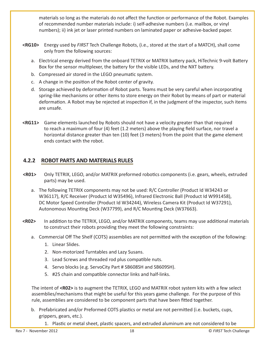materials so long as the materials do not affect the function or performance of the Robot. Examples of recommended number materials include: i) self-adhesive numbers (i.e. mailbox, or vinyl numbers); ii) ink jet or laser printed numbers on laminated paper or adhesive-backed paper.

- **<RG10>** Energy used by *FIRST* Tech Challenge Robots, (i.e., stored at the start of a MATCH), shall come only from the following sources:
	- a. Electrical energy derived from the onboard TETRIX or MATRIX battery pack, HiTechnic 9-volt Battery Box for the sensor multiplexer, the battery for the visible LEDs, and the NXT battery.
	- b. Compressed air stored in the LEGO pneumatic system.
	- c. A change in the position of the Robot center of gravity.
	- d. Storage achieved by deformation of Robot parts. Teams must be very careful when incorporating spring-like mechanisms or other items to store energy on their Robot by means of part or material deformation. A Robot may be rejected at inspection if, in the judgment of the inspector, such items are unsafe.
- **<RG11>** Game elements launched by Robots should not have a velocity greater than that required to reach a maximum of four (4) feet (1.2 meters) above the playing field surface, nor travel a horizontal distance greater than ten (10) feet (3 meters) from the point that the game element ends contact with the robot.

# **4.2.2 ROBOT PARTS AND MATERIALS RULES**

- **<R01>** Only TETRIX, LEGO, and/or MATRIX preformed robotics components (i.e. gears, wheels, extruded parts) may be used.
	- a. The following TETRIX components may not be used: R/C Controller (Product Id W34243 or W36117), R/C Receiver (Product Id W35496), Infrared Electronic Ball (Product Id W991458), DC Motor Speed Controller (Product Id W34244), Wireless Camera Kit (Product Id W37291), Autonomous Mounting Deck (W37799), and R/C Mounting Deck (W37663).
- **<R02>** In addition to the TETRIX, LEGO, and/or MATRIX components, teams may use additional materials to construct their robots providing they meet the following constraints:
	- a. Commercial Off The Shelf (COTS) assemblies are not permitted with the exception of the following:
		- 1. Linear Slides.
		- 2. Non-motorized Turntables and Lazy Susans.
		- 3. Lead Screws and threaded rod plus compatible nuts.
		- 4. Servo blocks (e.g. ServoCity Part # SB608SH and SB609SH).
		- 5. #25 chain and compatible connector links and half-links.

The intent of **<R02>** is to augment the TETRIX, LEGO and MATRIX robot system kits with a few select assemblies/mechanisms that might be useful for this years game challenge. For the purpose of this rule, assemblies are considered to be component parts that have been fitted together.

b. Prefabricated and/or Preformed COTS plastics or metal are not permitted (i.e. buckets, cups, grippers, gears, etc.).

1. Plastic or metal sheet, plastic spacers, and extruded aluminum are not considered to be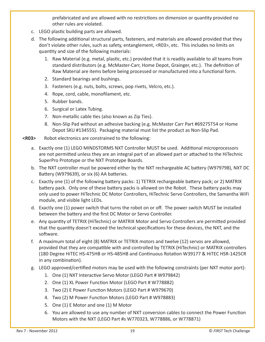prefabricated and are allowed with no restrictions on dimension or quantity provided no other rules are violated.

- c. LEGO plastic building parts are allowed.
- d. The following additional structural parts, fasteners, and materials are allowed provided that they don't violate other rules, such as safety, entanglement, <R03>, etc. This includes no limits on quantity and size of the following materials:
	- 1. Raw Material (e.g. metal, plastic, etc.) provided that it is readily available to all teams from standard distributors (e.g. McMaster-Carr, Home Depot, Grainger, etc.). The definition of Raw Material are items before being processed or manufactured into a functional form.
	- 2. Standard bearings and bushings.
	- 3. Fasteners (e.g. nuts, bolts, screws, pop rivets, Velcro, etc.).
	- 4. Rope, cord, cable, monofilament, etc.
	- 5. Rubber bands.
	- 6. Surgical or Latex Tubing.
	- 7. Non-metallic cable ties (also known as Zip Ties).
	- 8. Non-Slip Pad without an adhesive backing (e.g. McMaster Carr Part #69275T54 or Home Depot SKU #134555). Packaging material must list the product as Non-Slip Pad.
- **<R03>** Robot electronics are constrained to the following:
	- a. Exactly one (1) LEGO MINDSTORMS NXT Controller MUST be used. Additional microprocessors are not permitted unless they are an integral part of an allowed part or attached to the HiTechnic SuperPro Prototype or the NXT Prototype Boards.
	- b. The NXT controller must be powered either by the NXT rechargeable AC battery (W979798), NXT DC Battery (W979639), or six (6) AA batteries.
	- c. Exactly one (1) of the following battery packs: 1) TETRIX rechargeable battery pack; or 2) MATRIX battery pack. Only one of these battery packs is allowed on the Robot. These battery packs may only used to power HiTechnic DC Motor Controllers, HiTechnic Servo Controllers, the Samantha WiFi module, and visible light LEDs.
	- d. Exactly one (1) power switch that turns the robot on or off. The power switch MUST be installed between the battery and the first DC Motor or Servo Controller.
	- e. Any quantity of TETRIX (HiTechnic) or MATRIX Motor and Servo Controllers are permitted provided that the quantity doesn't exceed the technical specifications for these devices, the NXT, and the software.
	- f. A maximum total of eight (8) MATRIX or TETRIX motors and twelve (12) servos are allowed, provided that they are compatible with and controlled by TETRIX (HiTechnic) or MATRIX controllers (180 Degree HiTEC HS-475HB or HS-485HB and Continuous Rotation W39177 & HiTEC HSR-1425CR in any combination).
	- g. LEGO approved/certified motors may be used with the following constraints (per NXT motor port):
		- 1. One (1) NXT Interactive Servo Motor (LEGO Part # W979842)
		- 2. One (1) XL Power Function Motor (LEGO Part # W778882)
		- 3. Two (2) E Power Function Motors (LEGO Part # W979670)
		- 4. Two (2) M Power Function Motors (LEGO Part # W978883)
		- 5. One (1) E Motor and one (1) M Motor
		- 6. You are allowed to use any number of NXT conversion cables to connect the Power Function Motors with the NXT (LEGO Part #s W770323, W778886, or W778871)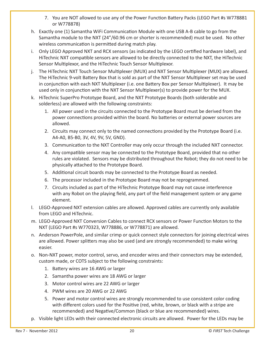- 7. You are NOT allowed to use any of the Power Function Battery Packs (LEGO Part #s W778881 or W778878)
- h. Exactly one (1) Samantha WiFi Communication Module with one USB A-B cable to go from the Samantha module to the NXT (24"/60.96 cm or shorter is recommended) must be used. No other wireless communication is permitted during match play.
- i. Only LEGO Approved NXT and RCX sensors (as indicated by the LEGO certified hardware label), and HiTechnic NXT compatible sensors are allowed to be directly connected to the NXT, the HiTechnic Sensor Multiplexor, and the HiTechnic Touch Sensor Multiplexor.
- j. The HiTechnic NXT Touch Sensor Multiplexer (MUX) and NXT Sensor Multiplexer (MUX) are allowed. The HiTechnic 9-volt Battery Box that is sold as part of the NXT Sensor Multiplexer set may be used in conjunction with each NXT Multiplexer (i.e. one Battery Box per Sensor Multiplexer). It may be used only in conjunction with the NXT Sensor Multiplexer(s) to provide power for the MUX.
- k. HiTechnic SuperPro Prototype Board, and the NXT Prototype Boards (both solderable and solderless) are allowed with the following constraints:
	- 1. All power used in the circuits connected to the Prototype Board must be derived from the power connections provided within the board. No batteries or external power sources are allowed.
	- 2. Circuits may connect only to the named connections provided by the Prototype Board (i.e. A4-A0, B5-B0, 3V, 4V, 9V, 5V, GND).
	- 3. Communication to the NXT Controller may only occur through the included NXT connector.
	- 4. Any compatible sensor may be connected to the Prototype Board, provided that no other rules are violated. Sensors may be distributed throughout the Robot; they do not need to be physically attached to the Prototype Board.
	- 5. Additional circuit boards may be connected to the Prototype Board as needed.
	- 6. The processor included in the Prototype Board may not be reprogrammed.
	- 7. Circuits included as part of the HiTechnic Prototype Board may not cause interference with any Robot on the playing field, any part of the field management system or any game element.
- l. LEGO-Approved NXT extension cables are allowed. Approved cables are currently only available from LEGO and HiTechnic.
- m. LEGO-Approved NXT Conversion Cables to connect RCX sensors or Power Function Motors to the NXT (LEGO Part #s W770323, W778886, or W778871) are allowed.
- n. Anderson PowerPole, and similar crimp or quick connect style connectors for joining electrical wires are allowed. Power splitters may also be used (and are strongly recommended) to make wiring easier.
- o. Non-NXT power, motor control, servo, and encoder wires and their connectors may be extended, custom made, or COTS subject to the following constraints:
	- 1. Battery wires are 16 AWG or larger
	- 2. Samantha power wires are 18 AWG or larger
	- 3. Motor control wires are 22 AWG or larger
	- 4. PWM wires are 20 AWG or 22 AWG
	- 5. Power and motor control wires are strongly recommended to use consistent color coding with different colors used for the Positive (red, white, brown, or black with a stripe are recommended) and Negative/Common (black or blue are recommended) wires.
- p. Visible light LEDs with their connected electronic circuits are allowed. Power for the LEDs may be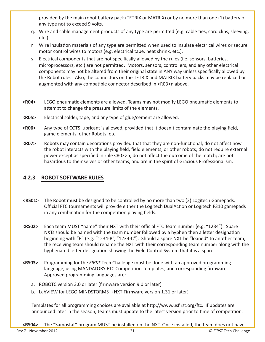provided by the main robot battery pack (TETRIX or MATRIX) or by no more than one (1) battery of any type not to exceed 9 volts.

- q. Wire and cable management products of any type are permitted (e.g. cable ties, cord clips, sleeving, etc.).
- r. Wire insulation materials of any type are permitted when used to insulate electrical wires or secure motor control wires to motors (e.g. electrical tape, heat shrink, etc.).
- s. Electrical components that are not specifically allowed by the rules (i.e. sensors, batteries, microprocessors, etc.) are not permitted. Motors, sensors, controllers, and any other electrical components may not be altered from their original state in ANY way unless specifically allowed by the Robot rules. Also, the connectors on the TETRIX and MATRIX battery packs may be replaced or augmented with any compatible connector described in <R03>n above.
- **<R04>** LEGO pneumatic elements are allowed. Teams may not modify LEGO pneumatic elements to attempt to change the pressure limits of the elements.
- **<R05>** Electrical solder, tape, and any type of glue/cement are allowed.
- **<R06>** Any type of COTS lubricant is allowed, provided that it doesn't contaminate the playing field, game elements, other Robots, etc.
- **<R07>** Robots may contain decorations provided that that they are non-functional; do not affect how the robot interacts with the playing field, field elements, or other robots; do not require external power except as specified in rule <R03>p; do not affect the outcome of the match; are not hazardous to themselves or other teams; and are in the spirit of Gracious Professionalism.

# **4.2.3 ROBOT SOFTWARE RULES**

- **<RS01>** The Robot must be designed to be controlled by no more than two (2) Logitech Gamepads. Official FTC tournaments will provide either the Logitech DualAction or Logitech F310 gamepads in any combination for the competition playing fields.
- **<RS02>** Each team MUST "name" their NXT with their official FTC Team number (e.g. "1234"). Spare NXTs should be named with the team number followed by a hyphen then a letter designation beginning with "B" (e.g. "1234-B", "1234-C"). Should a spare NXT be "loaned" to another team, the receiving team should rename the NXT with their corresponding team number along with the hyphenated letter designation showing the Field Control System that it is a spare.
- **<RS03>** Programming for the *FIRST* Tech Challenge must be done with an approved programming language, using MANDATORY FTC Competition Templates, and corresponding firmware. Approved programming languages are:
	- a. ROBOTC version 3.0 or later (firmware version 9.0 or later)
	- b. LabVIEW for LEGO MINDSTORMS (NXT Firmware version 1.31 or later)

Templates for all programming choices are available at http://www.usfirst.org/ftc. If updates are announced later in the season, teams must update to the latest version prior to time of competition.

**<RS04>** The "Samostat" program MUST be installed on the NXT. Once installed, the team does not have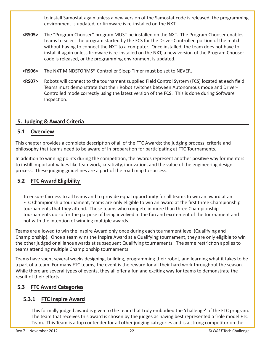to install Samostat again unless a new version of the Samostat code is released, the programming environment is updated, or firmware is re-installed on the NXT.

- **<RS05>** The "Program Chooser" program MUST be installed on the NXT. The Program Chooser enables teams to select the program started by the FCS for the Driver-Controlled portion of the match without having to connect the NXT to a computer. Once installed, the team does not have to install it again unless firmware is re-installed on the NXT, a new version of the Program Chooser code is released, or the programming environment is updated.
- **<RS06>** The NXT MINDSTORMS® Controller Sleep Timer must be set to NEVER.
- **<RS07>** Robots will connect to the tournament supplied Field Control System (FCS) located at each field. Teams must demonstrate that their Robot switches between Autonomous mode and Driver-Controlled mode correctly using the latest version of the FCS. This is done during Software Inspection.

#### **5. Judging & Award Criteria**

#### **5.1 Overview**

This chapter provides a complete description of all of the FTC Awards; the judging process, criteria and philosophy that teams need to be aware of in preparation for participating at FTC Tournaments.

In addition to winning points during the competition, the awards represent another positive way for mentors to instill important values like teamwork, creativity, innovation, and the value of the engineering design process. These judging guidelines are a part of the road map to success.

# **5.2 FTC Award Eligibility**

To ensure fairness to all teams and to provide equal opportunity for all teams to win an award at an FTC Championship tournament, teams are only eligible to win an award at the first three Championship tournaments that they attend. Those teams who compete in more than three Championship tournaments do so for the purpose of being involved in the fun and excitement of the tournament and not with the intention of winning multiple awards.

Teams are allowed to win the Inspire Award only once during each tournament level (Qualifying and Championship). Once a team wins the Inspire Award at a Qualifying tournament, they are only eligible to win the other judged or alliance awards at subsequent Qualifying tournaments. The same restriction applies to teams attending multiple Championship tournaments.

Teams have spent several weeks designing, building, programming their robot, and learning what it takes to be a part of a team. For many FTC teams, the event is the reward for all their hard work throughout the season. While there are several types of events, they all offer a fun and exciting way for teams to demonstrate the result of their efforts.

# **5.3 FTC Award Categories**

# **5.3.1 FTC Inspire Award**

This formally judged award is given to the team that truly embodied the 'challenge' of the FTC program. The team that receives this award is chosen by the judges as having best represented a 'role model FTC Team. This Team is a top contender for all other judging categories and is a strong competitor on the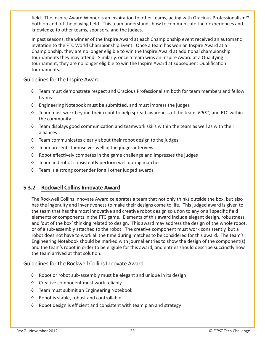field. The Inspire Award Winner is an inspiration to other teams, acting with Gracious Professionalism™ both on and off the playing field. This team understands how to communicate their experiences and knowledge to other teams, sponsors, and the judges.

In past seasons, the winner of the Inspire Award at each Championship event received an automatic invitation to the FTC World Championship Event. Once a team has won an Inspire Award at a Championship, they are no longer eligible to win the Inspire Award at additional championship tournaments they may attend. Similarly, once a team wins an Inspire Award at a Qualifying tournament, they are no longer eligible to win the Inspire Award at subsequent Qualification tournaments.

#### Guidelines for the Inspire Award

- ◊ Team must demonstrate respect and Gracious Professionalism both for team members and fellow teams
- ◊ Engineering Notebook must be submitted, and must impress the judges
- ◊ Team must work beyond their robot to help spread awareness of the team, *FIRST*, and FTC within the community
- ◊ Team displays good communication and teamwork skills within the team as well as with their alliances
- ◊ Team communicates clearly about their robot design to the judges
- ◊ Team presents themselves well in the judges interview
- ◊ Robot effectively competes in the game challenge and impresses the judges
- ◊ Team and robot consistently perform well during matches
- ◊ Team is a strong contender for all other judged awards

#### **5.3.2 Rockwell Collins Innovate Award**

The Rockwell Collins Innovate Award celebrates a team that not only thinks outside the box, but also has the ingenuity and inventiveness to make their designs come to life. This judged award is given to the team that has the most innovative and creative robot design solution to any or all specific field elements or components in the FTC game. Elements of this award include elegant design, robustness, and 'out of the box' thinking related to design. This award may address the design of the whole robot, or of a sub-assembly attached to the robot. The creative component must work consistently, but a robot does not have to work all the time during matches to be considered for this award. The team's Engineering Notebook should be marked with journal entries to show the design of the component(s) and the team's robot in order to be eligible for this award, and entries should describe succinctly how the team arrived at that solution.

Guidelines for the Rockwell Collins Innovate Award.

- ◊ Robot or robot sub-assembly must be elegant and unique in its design
- ◊ Creative component must work reliably
- ◊ Team must submit an Engineering Notebook
- ◊ Robot is stable, robust and controllable
- ◊ Robot design is efficient and consistent with team plan and strategy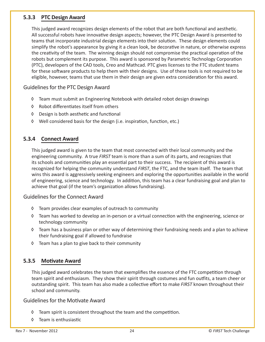#### **5.3.3 PTC Design Award**

This judged award recognizes design elements of the robot that are both functional and aesthetic. All successful robots have innovative design aspects; however, the PTC Design Award is presented to teams that incorporate industrial design elements into their solution. These design elements could simplify the robot's appearance by giving it a clean look, be decorative in nature, or otherwise express the creativity of the team. The winning design should not compromise the practical operation of the robots but complement its purpose. This award is sponsored by Parametric Technology Corporation (PTC), developers of the CAD tools, Creo and Mathcad. PTC gives licenses to the FTC student teams for these software products to help them with their designs. Use of these tools is not required to be eligible, however, teams that use them in their design are given extra consideration for this award.

Guidelines for the PTC Design Award

- ◊ Team must submit an Engineering Notebook with detailed robot design drawings
- ◊ Robot differentiates itself from others
- ◊ Design is both aesthetic and functional
- ◊ Well considered basis for the design (i.e. inspiration, function, etc.)

#### **5.3.4 Connect Award**

This judged award is given to the team that most connected with their local community and the engineering community. A true *FIRST* team is more than a sum of its parts, and recognizes that its schools and communities play an essential part to their success. The recipient of this award is recognized for helping the community understand *FIRST*, the FTC, and the team itself. The team that wins this award is aggressively seeking engineers and exploring the opportunities available in the world of engineering, science and technology. In addition, this team has a clear fundraising goal and plan to achieve that goal (if the team's organization allows fundraising).

#### Guidelines for the Connect Award

- ◊ Team provides clear examples of outreach to community
- ◊ Team has worked to develop an in-person or a virtual connection with the engineering, science or technology community
- ◊ Team has a business plan or other way of determining their fundraising needs and a plan to achieve their fundraising goal if allowed to fundraise
- ◊ Team has a plan to give back to their community

#### **5.3.5 Motivate Award**

This judged award celebrates the team that exemplifies the essence of the FTC competition through team spirit and enthusiasm. They show their spirit through costumes and fun outfits, a team cheer or outstanding spirit. This team has also made a collective effort to make *FIRST* known throughout their school and community.

#### Guidelines for the Motivate Award

- ◊ Team spirit is consistent throughout the team and the competition.
- ◊ Team is enthusiastic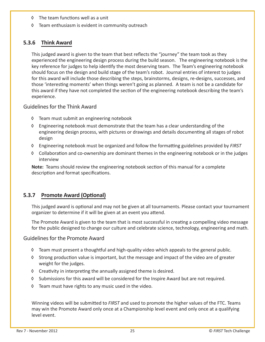- ◊ The team functions well as a unit
- ◊ Team enthusiasm is evident in community outreach

## **5.3.6 Think Award**

This judged award is given to the team that best reflects the "journey" the team took as they experienced the engineering design process during the build season. The engineering notebook is the key reference for judges to help identify the most deserving team. The Team's engineering notebook should focus on the design and build stage of the team's robot. Journal entries of interest to judges for this award will include those describing the steps, brainstorms, designs, re-designs, successes, and those 'interesting moments' when things weren't going as planned. A team is not be a candidate for this award if they have not completed the section of the engineering notebook describing the team's experience.

#### Guidelines for the Think Award

- ◊ Team must submit an engineering notebook
- ◊ Engineering notebook must demonstrate that the team has a clear understanding of the engineering design process, with pictures or drawings and details documenting all stages of robot design
- ◊ Engineering notebook must be organized and follow the formatting guidelines provided by *FIRST*
- ◊ Collaboration and co-ownership are dominant themes in the engineering notebook or in the judges interview

**Note:** Teams should review the engineering notebook section of this manual for a complete description and format specifications.

# **5.3.7 Promote Award (Optional)**

This judged award is optional and may not be given at all tournaments. Please contact your tournament organizer to determine if it will be given at an event you attend.

The Promote Award is given to the team that is most successful in creating a compelling video message for the public designed to change our culture and celebrate science, technology, engineering and math.

#### Guidelines for the Promote Award

- ◊ Team must present a thoughtful and high-quality video which appeals to the general public.
- ◊ Strong production value is important, but the message and impact of the video are of greater weight for the judges.
- ◊ Creativity in interpreting the annually assigned theme is desired.
- ◊ Submissions for this award will be considered for the Inspire Award but are not required.
- ◊ Team must have rights to any music used in the video.

Winning videos will be submitted to *FIRST* and used to promote the higher values of the FTC. Teams may win the Promote Award only once at a Championship level event and only once at a qualifying level event.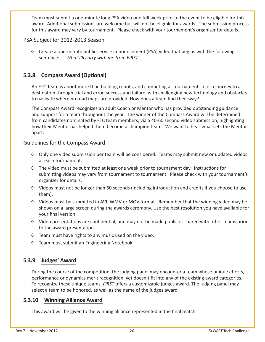Team must submit a one-minute long PSA video one full week prior to the event to be eligible for this award. Additional submissions are welcome but will not be eligible for awards. The submission process for this award may vary by tournament. Please check with your tournament's organizer for details.

#### PSA Subject for 2012-2013 Season

◊ Create a one-minute public service announcement (PSA) video that begins with the following sentence: *"What I'll carry with me from FIRST"*

## **5.3.8 Compass Award (Optional)**

An FTC Team is about more than building robots, and competing at tournaments, it is a journey to a destination through trial and error, success and failure, with challenging new technology and obstacles to navigate where no road maps are provided. How does a team find their way?

The Compass Award recognizes an adult Coach or Mentor who has provided outstanding guidance and support for a team throughout the year. The winner of the Compass Award will be determined from candidates nominated by FTC team members, via a 40-60 second video submission, highlighting how their Mentor has helped them become a champion team. We want to hear what sets the Mentor apart.

#### Guidelines for the Compass Award

- ◊ Only one video submission per team will be considered. Teams may submit new or updated videos at each tournament.
- ◊ The video must be submitted at least one week prior to tournament day. Instructions for submitting videos may vary from tournament to tournament. Please check with your tournament's organizer for details.
- ◊ Videos must not be longer than 60 seconds (including introduction and credits if you choose to use them).
- ◊ Videos must be submitted in AVI, WMV or MOV format. Remember that the winning video may be shown on a large screen during the awards ceremony. Use the best resolution you have available for your final version.
- ◊ Video presentations are confidential, and may not be made public or shared with other teams prior to the award presentation.
- ◊ Team must have rights to any music used on the video.
- ◊ Team must submit an Engineering Notebook.

#### **5.3.9 Judges' Award**

During the course of the competition, the judging panel may encounter a team whose unique efforts, performance or dynamics merit recognition, yet doesn't fit into any of the existing award categories. To recognize these unique teams, *FIRST* offers a customizable judges award. The judging panel may select a team to be honored, as well as the name of the judges award.

#### **5.3.10 Winning Alliance Award**

This award will be given to the winning alliance represented in the final match.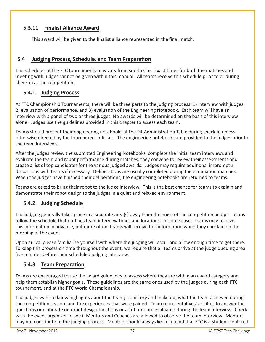# **5.3.11 Finalist Alliance Award**

This award will be given to the finalist alliance represented in the final match.

## **5.4 Judging Process, Schedule, and Team Preparation**

The schedules at the FTC tournaments may vary from site to site. Exact times for both the matches and meeting with judges cannot be given within this manual. All teams receive this schedule prior to or during check-in at the competition.

# **5.4.1 Judging Process**

At FTC Championship Tournaments, there will be three parts to the judging process: 1) interview with judges, 2) evaluation of performance, and 3) evaluation of the Engineering Notebook. Each team will have an interview with a panel of two or three judges. No awards will be determined on the basis of this interview alone. Judges use the guidelines provided in this chapter to assess each team.

Teams should present their engineering notebooks at the Pit Administration Table during check-in unless otherwise directed by the tournament officials. The engineering notebooks are provided to the judges prior to the team interviews.

After the judges review the submitted Engineering Notebooks, complete the initial team interviews and evaluate the team and robot performance during matches, they convene to review their assessments and create a list of top candidates for the various judged awards. Judges may require additional impromptu discussions with teams if necessary. Deliberations are usually completed during the elimination matches. When the judges have finished their deliberations, the engineering notebooks are returned to teams.

Teams are asked to bring their robot to the judge interview. This is the best chance for teams to explain and demonstrate their robot design to the judges in a quiet and relaxed environment.

# **5.4.2 Judging Schedule**

The judging generally takes place in a separate area(s) away from the noise of the competition and pit. Teams follow the schedule that outlines team interview times and locations. In some cases, teams may receive this information in advance, but more often, teams will receive this information when they check-in on the morning of the event.

Upon arrival please familiarize yourself with where the judging will occur and allow enough time to get there. To keep this process on time throughout the event, we require that all teams arrive at the judge queuing area five minutes before their scheduled judging interview.

# **5.4.3 Team Preparation**

Teams are encouraged to use the award guidelines to assess where they are within an award category and help them establish higher goals. These guidelines are the same ones used by the judges during each FTC tournament, and at the FTC World Championship.

The judges want to know highlights about the team; its history and make up; what the team achieved during the competition season; and the experiences that were gained. Team representatives' abilities to answer the questions or elaborate on robot design functions or attributes are evaluated during the team interview. Check with the event organizer to see if Mentors and Coaches are allowed to observe the team interview. Mentors may not contribute to the judging process. Mentors should always keep in mind that FTC is a student-centered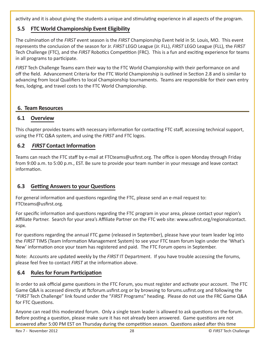activity and it is about giving the students a unique and stimulating experience in all aspects of the program.

# **5.5 FTC World Championship Event Eligibility**

The culmination of the *FIRST* event season is the *FIRST* Championship Event held in St. Louis, MO. This event represents the conclusion of the season for Jr. *FIRST* LEGO League (Jr. FLL), *FIRST* LEGO League (FLL), the *FIRST* Tech Challenge (FTC), and the *FIRST* Robotics Competition (FRC). This is a fun and exciting experience for teams in all programs to participate.

*FIRST* Tech Challenge Teams earn their way to the FTC World Championship with their performance on and off the field. Advancement Criteria for the FTC World Championship is outlined in Section 2.8 and is similar to advancing from local Qualifiers to local Championship tournaments. Teams are responsible for their own entry fees, lodging, and travel costs to the FTC World Championship.

#### **6. Team Resources**

#### **6.1 Overview**

This chapter provides teams with necessary information for contacting FTC staff, accessing technical support, using the FTC Q&A system, and using the *FIRST* and FTC logos.

#### **6.2**  *FIRST* **Contact Information**

Teams can reach the FTC staff by e-mail at FTCteams@usfirst.org. The office is open Monday through Friday from 9:00 a.m. to 5:00 p.m., EST. Be sure to provide your team number in your message and leave contact information.

#### **6.3 Getting Answers to your Questions**

For general information and questions regarding the FTC, please send an e-mail request to: FTCteams@usfirst.org.

For specific information and questions regarding the FTC program in your area, please contact your region's Affiliate Partner. Search for your area's Affiliate Partner on the FTC web site: www.usfirst*.*org/regionalcontact. aspx.

For questions regarding the annual FTC game (released in September), please have your team leader log into the *FIRST* TIMS (Team Information Management System) to see your FTC team forum login under the 'What's New' information once your team has registered and paid. The FTC Forum opens in September.

Note: Accounts are updated weekly by the *FIRST* IT Department. If you have trouble accessing the forums, please feel free to contact *FIRST* at the information above.

#### **6.4 Rules for Forum Participation**

In order to ask official game questions in the FTC Forum, you must register and activate your account. The FTC Game Q&A is accessed directly at ftcforum.usfirst.org or by browsing to forums.usfirst.org and following the "*FIRST* Tech Challenge" link found under the "*FIRST* Programs" heading. Please do not use the FRC Game Q&A for FTC Questions.

Anyone can read this moderated forum. Only a single team leader is allowed to ask questions on the forum. Before posting a question, please make sure it has not already been answered. Game questions are not answered after 5:00 PM EST on Thursday during the competition season. Questions asked after this time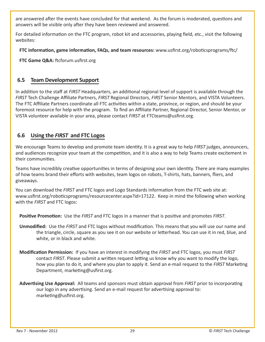are answered after the events have concluded for that weekend. As the forum is moderated, questions and answers will be visible only after they have been reviewed and answered.

For detailed information on the FTC program, robot kit and accessories, playing field, etc., visit the following websites:

**FTC information, game information, FAQs, and team resources:** www.usfirst.org/roboticsprograms/ftc/

**FTC Game Q&A:** ftcforum.usfirst.org

## **6.5 Team Development Support**

In addition to the staff at *FIRST* Headquarters, an additional regional level of support is available through the *FIRST* Tech Challenge Affiliate Partners, *FIRST* Regional Directors, *FIRST* Senior Mentors, and VISTA Volunteers. The FTC Affiliate Partners coordinate all FTC activities within a state, province, or region, and should be your foremost resource for help with the program. To find an Affiliate Partner, Regional Director, Senior Mentor, or VISTA volunteer available in your area, please contact *FIRST* at FTCteams@usfirst.org.

# **6.6 Using the** *FIRST* **and FTC Logos**

We encourage Teams to develop and promote team identity. It is a great way to help *FIRST* judges, announcers, and audiences recognize your team at the competition, and it is also a way to help Teams create excitement in their communities.

Teams have incredibly creative opportunities in terms of designing your own identity. There are many examples of how teams brand their efforts with websites, team logos on robots, T-shirts, hats, banners, fliers, and giveaways.

You can download the *FIRST* and FTC logos and Logo Standards information from the FTC web site at: www.usfirst.org/roboticsprograms/resourcecenter.aspx?id=17122. Keep in mind the following when working with the *FIRST* and FTC logos:

**Positive Promotion:** Use the *FIRST* and FTC logos in a manner that is positive and promotes *FIRST*.

- **Unmodified:** Use the *FIRST* and FTC logos without modification. This means that you will use our name and the triangle, circle, square as you see it on our website or letterhead. You can use it in red, blue, and white, or in black and white.
- **Modification Permission:** If you have an interest in modifying the *FIRST* and FTC logos, you must *FIRST* contact *FIRST*. Please submit a written request letting us know why you want to modify the logo, how you plan to do it, and where you plan to apply it. Send an e-mail request to the *FIRST* Marketing Department, marketing@usfirst.org.
- **Advertising Use Approval:** All teams and sponsors must obtain approval from *FIRST* prior to incorporating our logo in any advertising. Send an e-mail request for advertising approval to: marketing@usfirst.org.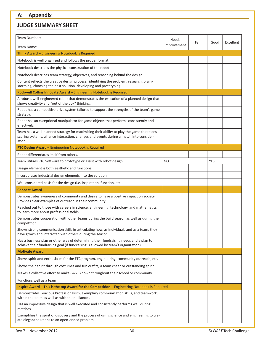# **JUDGE SUMMARY SHEET**

| Team Number:                                                                                                                                                                                   | <b>Needs</b> | Fair | Good       | Excellent |
|------------------------------------------------------------------------------------------------------------------------------------------------------------------------------------------------|--------------|------|------------|-----------|
| Team Name:                                                                                                                                                                                     | Improvement  |      |            |           |
| Think Award - Engineering Notebook is Required                                                                                                                                                 |              |      |            |           |
| Notebook is well organized and follows the proper format.                                                                                                                                      |              |      |            |           |
| Notebook describes the physical construction of the robot                                                                                                                                      |              |      |            |           |
| Notebook describes team strategy, objectives, and reasoning behind the design.                                                                                                                 |              |      |            |           |
| Content reflects the creative design process: identifying the problem, research, brain-<br>storming, choosing the best solution, developing and prototyping.                                   |              |      |            |           |
| Rockwell Collins Innovate Award - Engineering Notebook is Required                                                                                                                             |              |      |            |           |
| A robust, well-engineered robot that demonstrates the execution of a planned design that<br>shows creativity and "out of the box" thinking.                                                    |              |      |            |           |
| Robot has a competitive drive system tailored to support the strengths of the team's game<br>strategy.                                                                                         |              |      |            |           |
| Robot has an exceptional manipulator for game objects that performs consistently and<br>effectively.                                                                                           |              |      |            |           |
| Team has a well-planned strategy for maximizing their ability to play the game that takes<br>scoring systems, alliance interaction, changes and events during a match into consider-<br>ation. |              |      |            |           |
| PTC Design Award - Engineering Notebook is Required                                                                                                                                            |              |      |            |           |
| Robot differentiates itself from others.                                                                                                                                                       |              |      |            |           |
| Team utilizes PTC Software to prototype or assist with robot design.                                                                                                                           | NO           |      | <b>YES</b> |           |
| Design element is both aesthetic and functional.                                                                                                                                               |              |      |            |           |
| Incorporates industrial design elements into the solution.                                                                                                                                     |              |      |            |           |
| Well considered basis for the design (i.e. inspiration, function, etc).                                                                                                                        |              |      |            |           |
| <b>Connect Award</b>                                                                                                                                                                           |              |      |            |           |
| Demonstrates awareness of community and desire to have a positive impact on society.<br>Provides clear examples of outreach in their community.                                                |              |      |            |           |
| Reached out to those with careers in science, engineering, technology, and mathematics<br>to learn more about professional fields.                                                             |              |      |            |           |
| Demonstrates cooperation with other teams during the build season as well as during the<br>competition.                                                                                        |              |      |            |           |
| Shows strong communication skills in articulating how, as individuals and as a team, they<br>have grown and interacted with others during the season.                                          |              |      |            |           |
| Has a business plan or other way of determining their fundraising needs and a plan to<br>achieve their fundraising goal (if fundraising is allowed by team's organization).                    |              |      |            |           |
| <b>Motivate Award</b>                                                                                                                                                                          |              |      |            |           |
| Shows spirit and enthusiasm for the FTC program, engineering, community outreach, etc.                                                                                                         |              |      |            |           |
| Shows their spirit through costumes and fun outfits, a team cheer or outstanding spirit.                                                                                                       |              |      |            |           |
| Makes a collective effort to make FIRST known throughout their school or community.                                                                                                            |              |      |            |           |
| Functions well as a team                                                                                                                                                                       |              |      |            |           |
| Inspire Award - This is the top Award for the Competition - Engineering Notebook is Required                                                                                                   |              |      |            |           |
| Demonstrates Gracious Professionalism, exemplary communication skills, and teamwork,<br>within the team as well as with their alliances.                                                       |              |      |            |           |
| Has an impressive design that is well executed and consistently performs well during<br>matches.                                                                                               |              |      |            |           |
| Exemplifies the spirit of discovery and the process of using science and engineering to cre-<br>ate elegant solutions to an open-ended problem.                                                |              |      |            |           |